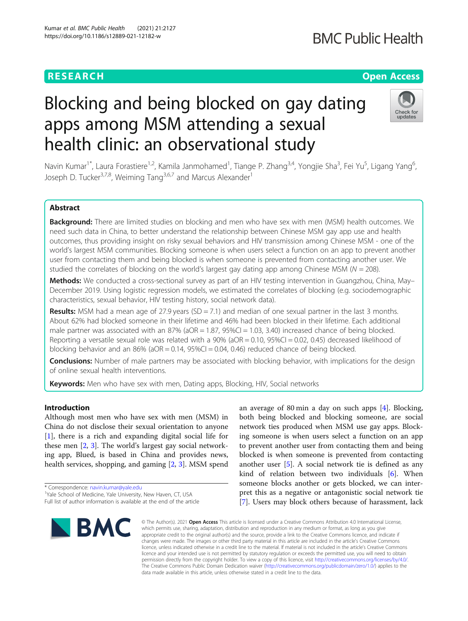## **RESEARCH CHE Open Access**

# Blocking and being blocked on gay dating apps among MSM attending a sexual health clinic: an observational study



Navin Kumar<sup>1\*</sup>, Laura Forastiere<sup>1,2</sup>, Kamila Janmohamed<sup>1</sup>, Tiange P. Zhang<sup>3,4</sup>, Yongjie Sha<sup>3</sup>, Fei Yu<sup>5</sup>, Ligang Yang<sup>6</sup> י<br>, Joseph D. Tucker<sup>3,7,8</sup>, Weiming Tang<sup>3,6,7</sup> and Marcus Alexander<sup>1</sup>

## Abstract

Background: There are limited studies on blocking and men who have sex with men (MSM) health outcomes. We need such data in China, to better understand the relationship between Chinese MSM gay app use and health outcomes, thus providing insight on risky sexual behaviors and HIV transmission among Chinese MSM - one of the world's largest MSM communities. Blocking someone is when users select a function on an app to prevent another user from contacting them and being blocked is when someone is prevented from contacting another user. We studied the correlates of blocking on the world's largest gay dating app among Chinese MSM ( $N = 208$ ).

Methods: We conducted a cross-sectional survey as part of an HIV testing intervention in Guangzhou, China, May– December 2019. Using logistic regression models, we estimated the correlates of blocking (e.g. sociodemographic characteristics, sexual behavior, HIV testing history, social network data).

**Results:** MSM had a mean age of 27.9 years (SD = 7.1) and median of one sexual partner in the last 3 months. About 62% had blocked someone in their lifetime and 46% had been blocked in their lifetime. Each additional male partner was associated with an 87% ( $aOR = 1.87$ ,  $95\% CI = 1.03$ ,  $3.40$ ) increased chance of being blocked. Reporting a versatile sexual role was related with a  $90\%$  (aOR = 0.10,  $95\%$ CI = 0.02, 0.45) decreased likelihood of blocking behavior and an  $86\%$  (aOR = 0.14,  $95\%$ CI = 0.04, 0.46) reduced chance of being blocked.

**Conclusions:** Number of male partners may be associated with blocking behavior, with implications for the design of online sexual health interventions.

Keywords: Men who have sex with men, Dating apps, Blocking, HIV, Social networks

## Introduction

Although most men who have sex with men (MSM) in China do not disclose their sexual orientation to anyone [[1\]](#page-6-0), there is a rich and expanding digital social life for these men [\[2](#page-6-0), [3](#page-6-0)]. The world's largest gay social networking app, Blued, is based in China and provides news, health services, shopping, and gaming [\[2](#page-6-0), [3](#page-6-0)]. MSM spend

\* Correspondence: [navin.kumar@yale.edu](mailto:navin.kumar@yale.edu) <sup>1</sup>

<sup>1</sup>Yale School of Medicine, Yale University, New Haven, CT, USA

Full list of author information is available at the end of the article



an average of 80 min a day on such apps [[4\]](#page-6-0). Blocking, both being blocked and blocking someone, are social network ties produced when MSM use gay apps. Blocking someone is when users select a function on an app to prevent another user from contacting them and being blocked is when someone is prevented from contacting another user [\[5](#page-6-0)]. A social network tie is defined as any kind of relation between two individuals [[6\]](#page-6-0). When someone blocks another or gets blocked, we can interpret this as a negative or antagonistic social network tie [[7\]](#page-6-0). Users may block others because of harassment, lack

© The Author(s), 2021 **Open Access** This article is licensed under a Creative Commons Attribution 4.0 International License, which permits use, sharing, adaptation, distribution and reproduction in any medium or format, as long as you give appropriate credit to the original author(s) and the source, provide a link to the Creative Commons licence, and indicate if changes were made. The images or other third party material in this article are included in the article's Creative Commons licence, unless indicated otherwise in a credit line to the material. If material is not included in the article's Creative Commons licence and your intended use is not permitted by statutory regulation or exceeds the permitted use, you will need to obtain permission directly from the copyright holder. To view a copy of this licence, visit [http://creativecommons.org/licenses/by/4.0/.](http://creativecommons.org/licenses/by/4.0/) The Creative Commons Public Domain Dedication waiver [\(http://creativecommons.org/publicdomain/zero/1.0/](http://creativecommons.org/publicdomain/zero/1.0/)) applies to the data made available in this article, unless otherwise stated in a credit line to the data.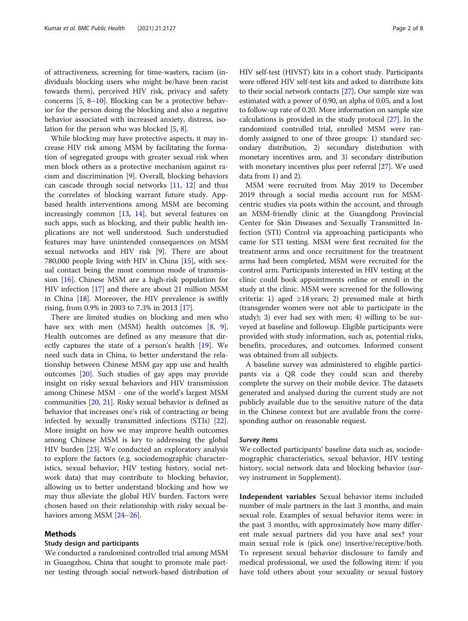of attractiveness, screening for time-wasters, racism (individuals blocking users who might be/have been racist towards them), perceived HIV risk, privacy and safety concerns [\[5](#page-6-0), [8](#page-6-0)–[10\]](#page-6-0). Blocking can be a protective behavior for the person doing the blocking and also a negative behavior associated with increased anxiety, distress, isolation for the person who was blocked [[5,](#page-6-0) [8\]](#page-6-0).

While blocking may have protective aspects, it may increase HIV risk among MSM by facilitating the formation of segregated groups with greater sexual risk when men block others as a protective mechanism against racism and discrimination [[9\]](#page-6-0). Overall, blocking behaviors can cascade through social networks [[11,](#page-6-0) [12\]](#page-6-0) and thus the correlates of blocking warrant future study. Appbased health interventions among MSM are becoming increasingly common [[13](#page-6-0), [14](#page-6-0)], but several features on such apps, such as blocking, and their public health implications are not well understood. Such understudied features may have unintended consequences on MSM sexual networks and HIV risk [\[9](#page-6-0)]. There are about 780,000 people living with HIV in China [[15\]](#page-6-0), with sexual contact being the most common mode of transmission [[16\]](#page-6-0). Chinese MSM are a high-risk population for HIV infection [\[17\]](#page-6-0) and there are about 21 million MSM in China [[18\]](#page-6-0). Moreover, the HIV prevalence is swiftly rising, from 0.9% in 2003 to 7.3% in 2013 [\[17\]](#page-6-0).

There are limited studies on blocking and men who have sex with men (MSM) health outcomes [[8,](#page-6-0) [9](#page-6-0)]. Health outcomes are defined as any measure that directly captures the state of a person's health [\[19\]](#page-6-0). We need such data in China, to better understand the relationship between Chinese MSM gay app use and health outcomes [\[20](#page-6-0)]. Such studies of gay apps may provide insight on risky sexual behaviors and HIV transmission among Chinese MSM - one of the world's largest MSM communities [[20,](#page-6-0) [21\]](#page-6-0). Risky sexual behavior is defined as behavior that increases one's risk of contracting or being infected by sexually transmitted infections (STIs) [\[22](#page-6-0)]. More insight on how we may improve health outcomes among Chinese MSM is key to addressing the global HIV burden [\[23](#page-6-0)]. We conducted an exploratory analysis to explore the factors (e.g. sociodemographic characteristics, sexual behavior, HIV testing history, social network data) that may contribute to blocking behavior, allowing us to better understand blocking and how we may thus alleviate the global HIV burden. Factors were chosen based on their relationship with risky sexual be-haviors among MSM [\[24](#page-6-0)–[26\]](#page-6-0).

## Methods

## Study design and participants

We conducted a randomized controlled trial among MSM in Guangzhou, China that sought to promote male partner testing through social network-based distribution of HIV self-test (HIVST) kits in a cohort study. Participants were offered HIV self-test kits and asked to distribute kits to their social network contacts [[27\]](#page-6-0). Our sample size was estimated with a power of 0.90, an alpha of 0.05, and a lost to follow-up rate of 0.20. More information on sample size calculations is provided in the study protocol [[27](#page-6-0)]. In the randomized controlled trial, enrolled MSM were randomly assigned to one of three groups: 1) standard secondary distribution, 2) secondary distribution with monetary incentives arm, and 3) secondary distribution with monetary incentives plus peer referral [[27\]](#page-6-0). We used data from 1) and 2).

MSM were recruited from May 2019 to December 2019 through a social media account run for MSMcentric studies via posts within the account, and through an MSM-friendly clinic at the Guangdong Provincial Center for Skin Diseases and Sexually Transmitted Infection (STI) Control via approaching participants who came for STI testing. MSM were first recruited for the treatment arms and once recruitment for the treatment arms had been completed, MSM were recruited for the control arm. Participants interested in HIV testing at the clinic could book appointments online or enroll in the study at the clinic. MSM were screened for the following criteria: 1) aged  $\geq$ 18 years; 2) presumed male at birth (transgender women were not able to participate in the study); 3) ever had sex with men; 4) willing to be surveyed at baseline and followup. Eligible participants were provided with study information, such as, potential risks, benefits, procedures, and outcomes. Informed consent was obtained from all subjects.

A baseline survey was administered to eligible participants via a QR code they could scan and thereby complete the survey on their mobile device. The datasets generated and analysed during the current study are not publicly available due to the sensitive nature of the data in the Chinese context but are available from the corresponding author on reasonable request.

## Survey items

We collected participants' baseline data such as, sociodemographic characteristics, sexual behavior, HIV testing history, social network data and blocking behavior (survey instrument in Supplement).

Independent variables Sexual behavior items included number of male partners in the last 3 months, and main sexual role. Examples of sexual behavior items were: in the past 3 months, with approximately how many different male sexual partners did you have anal sex? your main sexual role is (pick one) insertive/receptive/both. To represent sexual behavior disclosure to family and medical professional, we used the following item: if you have told others about your sexuality or sexual history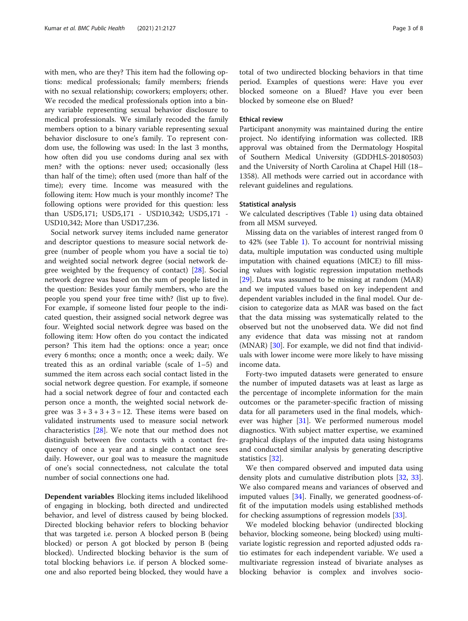with men, who are they? This item had the following options: medical professionals; family members; friends with no sexual relationship; coworkers; employers; other. We recoded the medical professionals option into a binary variable representing sexual behavior disclosure to medical professionals. We similarly recoded the family members option to a binary variable representing sexual behavior disclosure to one's family. To represent condom use, the following was used: In the last 3 months, how often did you use condoms during anal sex with men? with the options: never used; occasionally (less than half of the time); often used (more than half of the time); every time. Income was measured with the following item: How much is your monthly income? The following options were provided for this question: less than USD5,171; USD5,171 - USD10,342; USD5,171 - USD10,342; More than USD17,236.

Social network survey items included name generator and descriptor questions to measure social network degree (number of people whom you have a social tie to) and weighted social network degree (social network degree weighted by the frequency of contact) [\[28\]](#page-6-0). Social network degree was based on the sum of people listed in the question: Besides your family members, who are the people you spend your free time with? (list up to five). For example, if someone listed four people to the indicated question, their assigned social network degree was four. Weighted social network degree was based on the following item: How often do you contact the indicated person? This item had the options: once a year; once every 6 months; once a month; once a week; daily. We treated this as an ordinal variable (scale of 1–5) and summed the item across each social contact listed in the social network degree question. For example, if someone had a social network degree of four and contacted each person once a month, the weighted social network degree was  $3 + 3 + 3 + 3 = 12$ . These items were based on validated instruments used to measure social network characteristics [[28\]](#page-6-0). We note that our method does not distinguish between five contacts with a contact frequency of once a year and a single contact one sees daily. However, our goal was to measure the magnitude of one's social connectedness, not calculate the total number of social connections one had.

Dependent variables Blocking items included likelihood of engaging in blocking, both directed and undirected behavior, and level of distress caused by being blocked. Directed blocking behavior refers to blocking behavior that was targeted i.e. person A blocked person B (being blocked) or person A got blocked by person B (being blocked). Undirected blocking behavior is the sum of total blocking behaviors i.e. if person A blocked someone and also reported being blocked, they would have a

total of two undirected blocking behaviors in that time period. Examples of questions were: Have you ever blocked someone on a Blued? Have you ever been blocked by someone else on Blued?

## Ethical review

Participant anonymity was maintained during the entire project. No identifying information was collected. IRB approval was obtained from the Dermatology Hospital of Southern Medical University (GDDHLS-20180503) and the University of North Carolina at Chapel Hill (18– 1358). All methods were carried out in accordance with relevant guidelines and regulations.

## Statistical analysis

We calculated descriptives (Table [1](#page-3-0)) using data obtained from all MSM surveyed.

Missing data on the variables of interest ranged from 0 to 42% (see Table [1](#page-3-0)). To account for nontrivial missing data, multiple imputation was conducted using multiple imputation with chained equations (MICE) to fill missing values with logistic regression imputation methods [[29\]](#page-6-0). Data was assumed to be missing at random (MAR) and we imputed values based on key independent and dependent variables included in the final model. Our decision to categorize data as MAR was based on the fact that the data missing was systematically related to the observed but not the unobserved data. We did not find any evidence that data was missing not at random (MNAR) [[30\]](#page-6-0). For example, we did not find that individuals with lower income were more likely to have missing income data.

Forty-two imputed datasets were generated to ensure the number of imputed datasets was at least as large as the percentage of incomplete information for the main outcomes or the parameter-specific fraction of missing data for all parameters used in the final models, whichever was higher [\[31](#page-6-0)]. We performed numerous model diagnostics. With subject matter expertise, we examined graphical displays of the imputed data using histograms and conducted similar analysis by generating descriptive statistics [[32](#page-6-0)].

We then compared observed and imputed data using density plots and cumulative distribution plots [[32](#page-6-0), [33](#page-7-0)]. We also compared means and variances of observed and imputed values [[34\]](#page-7-0). Finally, we generated goodness-offit of the imputation models using established methods for checking assumptions of regression models [[33\]](#page-7-0).

We modeled blocking behavior (undirected blocking behavior, blocking someone, being blocked) using multivariate logistic regression and reported adjusted odds ratio estimates for each independent variable. We used a multivariate regression instead of bivariate analyses as blocking behavior is complex and involves socio-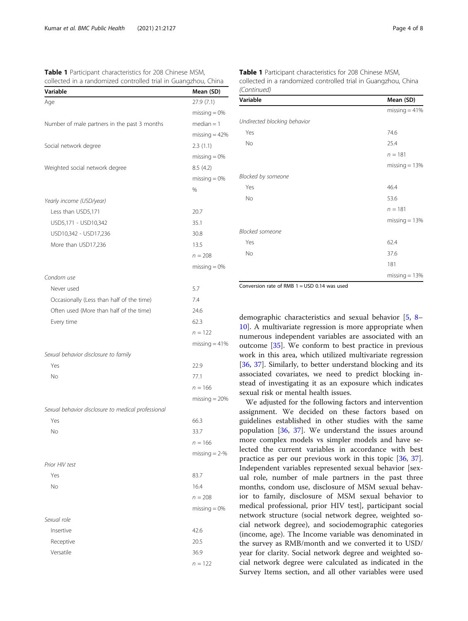<span id="page-3-0"></span>Table 1 Participant characteristics for 208 Chinese MSM, collected in a randomized controlled trial in Guangzhou, China

| Variable                                           | Mean (SD)       |
|----------------------------------------------------|-----------------|
| Age                                                | 27.9(7.1)       |
|                                                    | $missing = 0%$  |
| Number of male partners in the past 3 months       | $median = 1$    |
|                                                    | $missing = 42%$ |
| Social network degree                              | 2.3(1.1)        |
|                                                    | $missing = 0%$  |
| Weighted social network degree                     | 8.5(4.2)        |
|                                                    | $missing = 0\%$ |
|                                                    | %               |
| Yearly income (USD/year)                           |                 |
| Less than USD5,171                                 | 20.7            |
| USD5,171 - USD10,342                               | 35.1            |
| USD10,342 - USD17,236                              | 30.8            |
| More than USD17,236                                | 13.5            |
|                                                    | $n = 208$       |
|                                                    | $missing = 0%$  |
| Condom use                                         |                 |
| Never used                                         | 5.7             |
| Occasionally (Less than half of the time)          | 7.4             |
| Often used (More than half of the time)            | 24.6            |
| Every time                                         | 62.3            |
|                                                    | $n = 122$       |
|                                                    | $missing = 41%$ |
| Sexual behavior disclosure to family               |                 |
| Yes                                                | 22.9            |
| No                                                 | 77.1            |
|                                                    | $n = 166$       |
|                                                    | $missing = 20%$ |
| Sexual behavior disclosure to medical professional |                 |
| Yes                                                | 66.3            |
| No                                                 | 33.7            |
|                                                    | $n = 166$       |
|                                                    | missing $= 2-%$ |
| Prior HIV test                                     |                 |
| Yes                                                | 83.7            |
| No                                                 | 16.4            |
|                                                    | $n = 208$       |
|                                                    | $missing = 0%$  |
| Sexual role                                        |                 |
| Insertive                                          | 42.6            |
| Receptive                                          | 20.5            |
| Versatile                                          | 36.9            |
|                                                    | $n = 122$       |
|                                                    |                 |

Table 1 Participant characteristics for 208 Chinese MSM, collected in a randomized controlled trial in Guangzhou, China (Continued)

| Variable                     | Mean (SD)       |  |  |
|------------------------------|-----------------|--|--|
|                              | missing $=$ 41% |  |  |
| Undirected blocking behavior |                 |  |  |
| Yes                          | 74.6            |  |  |
| No                           | 25.4            |  |  |
|                              | $n = 181$       |  |  |
|                              | missing $= 13%$ |  |  |
| Blocked by someone           |                 |  |  |
| Yes                          | 46.4            |  |  |
| No                           | 53.6            |  |  |
|                              | $n = 181$       |  |  |
|                              | missing $= 13%$ |  |  |
| <b>Blocked someone</b>       |                 |  |  |
| Yes                          | 62.4            |  |  |
| No                           | 37.6            |  |  |
|                              | 181             |  |  |
|                              | $missing = 13%$ |  |  |

Conversion rate of RMB 1 = USD 0.14 was used

demographic characteristics and sexual behavior [\[5](#page-6-0), [8](#page-6-0)– [10\]](#page-6-0). A multivariate regression is more appropriate when numerous independent variables are associated with an outcome [\[35](#page-7-0)]. We conform to best practice in previous work in this area, which utilized multivariate regression [[36,](#page-7-0) [37](#page-7-0)]. Similarly, to better understand blocking and its associated covariates, we need to predict blocking instead of investigating it as an exposure which indicates sexual risk or mental health issues.

We adjusted for the following factors and intervention assignment. We decided on these factors based on guidelines established in other studies with the same population [[36,](#page-7-0) [37](#page-7-0)]. We understand the issues around more complex models vs simpler models and have selected the current variables in accordance with best practice as per our previous work in this topic [[36,](#page-7-0) [37](#page-7-0)]. Independent variables represented sexual behavior [sexual role, number of male partners in the past three months, condom use, disclosure of MSM sexual behavior to family, disclosure of MSM sexual behavior to medical professional, prior HIV test], participant social network structure (social network degree, weighted social network degree), and sociodemographic categories (income, age). The Income variable was denominated in the survey as RMB/month and we converted it to USD/ year for clarity. Social network degree and weighted social network degree were calculated as indicated in the Survey Items section, and all other variables were used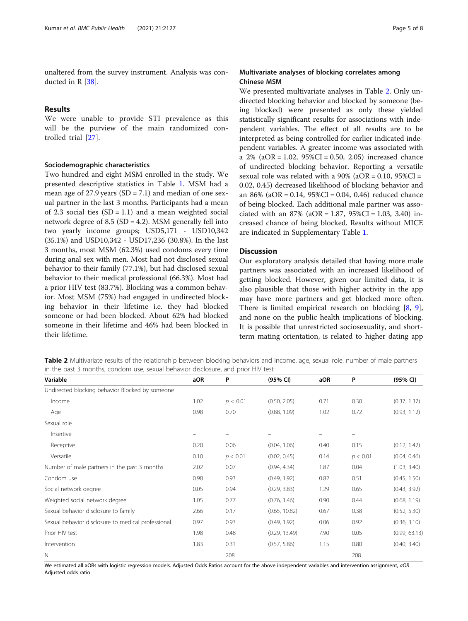unaltered from the survey instrument. Analysis was conducted in R [\[38](#page-7-0)].

## Results

We were unable to provide STI prevalence as this will be the purview of the main randomized controlled trial [[27\]](#page-6-0).

## Sociodemographic characteristics

Two hundred and eight MSM enrolled in the study. We presented descriptive statistics in Table [1.](#page-3-0) MSM had a mean age of 27.9 years  $(SD = 7.1)$  and median of one sexual partner in the last 3 months. Participants had a mean of 2.3 social ties  $(SD = 1.1)$  and a mean weighted social network degree of 8.5 (SD = 4.2). MSM generally fell into two yearly income groups; USD5,171 - USD10,342 (35.1%) and USD10,342 - USD17,236 (30.8%). In the last 3 months, most MSM (62.3%) used condoms every time during anal sex with men. Most had not disclosed sexual behavior to their family (77.1%), but had disclosed sexual behavior to their medical professional (66.3%). Most had a prior HIV test (83.7%). Blocking was a common behavior. Most MSM (75%) had engaged in undirected blocking behavior in their lifetime i.e. they had blocked someone or had been blocked. About 62% had blocked someone in their lifetime and 46% had been blocked in their lifetime.

## Multivariate analyses of blocking correlates among Chinese MSM

We presented multivariate analyses in Table 2. Only undirected blocking behavior and blocked by someone (being blocked) were presented as only these yielded statistically significant results for associations with independent variables. The effect of all results are to be interpreted as being controlled for earlier indicated independent variables. A greater income was associated with a 2% (aOR = 1.02, 95%CI = 0.50, 2.05) increased chance of undirected blocking behavior. Reporting a versatile sexual role was related with a  $90\%$  (aOR = 0.10,  $95\%$ CI = 0.02, 0.45) decreased likelihood of blocking behavior and an 86% (aOR = 0.14, 95%CI = 0.04, 0.46) reduced chance of being blocked. Each additional male partner was associated with an  $87\%$  (aOR = 1.87,  $95\%$ CI = 1.03, 3.40) increased chance of being blocked. Results without MICE are indicated in Supplementary Table [1](#page-5-0).

## **Discussion**

Our exploratory analysis detailed that having more male partners was associated with an increased likelihood of getting blocked. However, given our limited data, it is also plausible that those with higher activity in the app may have more partners and get blocked more often. There is limited empirical research on blocking [[8,](#page-6-0) [9](#page-6-0)], and none on the public health implications of blocking. It is possible that unrestricted sociosexuality, and shortterm mating orientation, is related to higher dating app

Table 2 Multivariate results of the relationship between blocking behaviors and income, age, sexual role, number of male partners in the past 3 months, condom use, sexual behavior disclosure, and prior HIV test

| Variable                                           | aOR  | P        | (95% CI)      | aOR  | P        | (95% CI)      |
|----------------------------------------------------|------|----------|---------------|------|----------|---------------|
| Undirected blocking behavior Blocked by someone    |      |          |               |      |          |               |
| Income                                             | 1.02 | p < 0.01 | (0.50, 2.05)  | 0.71 | 0.30     | (0.37, 1.37)  |
| Age                                                | 0.98 | 0.70     | (0.88, 1.09)  | 1.02 | 0.72     | (0.93, 1.12)  |
| Sexual role                                        |      |          |               |      |          |               |
| Insertive                                          |      |          |               |      |          |               |
| Receptive                                          | 0.20 | 0.06     | (0.04, 1.06)  | 0.40 | 0.15     | (0.12, 1.42)  |
| Versatile                                          | 0.10 | p < 0.01 | (0.02, 0.45)  | 0.14 | p < 0.01 | (0.04, 0.46)  |
| Number of male partners in the past 3 months       | 2.02 | 0.07     | (0.94, 4.34)  | 1.87 | 0.04     | (1.03, 3.40)  |
| Condom use                                         | 0.98 | 0.93     | (0.49, 1.92)  | 0.82 | 0.51     | (0.45, 1.50)  |
| Social network degree                              | 0.05 | 0.94     | (0.29, 3.83)  | 1.29 | 0.65     | (0.43, 3.92)  |
| Weighted social network degree                     | 1.05 | 0.77     | (0.76, 1.46)  | 0.90 | 0.44     | (0.68, 1.19)  |
| Sexual behavior disclosure to family               | 2.66 | 0.17     | (0.65, 10.82) | 0.67 | 0.38     | (0.52, 5.30)  |
| Sexual behavior disclosure to medical professional | 0.97 | 0.93     | (0.49, 1.92)  | 0.06 | 0.92     | (0.36, 3.10)  |
| Prior HIV test                                     | 1.98 | 0.48     | (0.29, 13.49) | 7.90 | 0.05     | (0.99, 63.13) |
| Intervention                                       | 1.83 | 0.31     | (0.57, 5.86)  | 1.15 | 0.80     | (0.40, 3.40)  |
| N                                                  |      | 208      |               |      | 208      |               |

We estimated all aORs with logistic regression models. Adjusted Odds Ratios account for the above independent variables and intervention assignment, aOR Adjusted odds ratio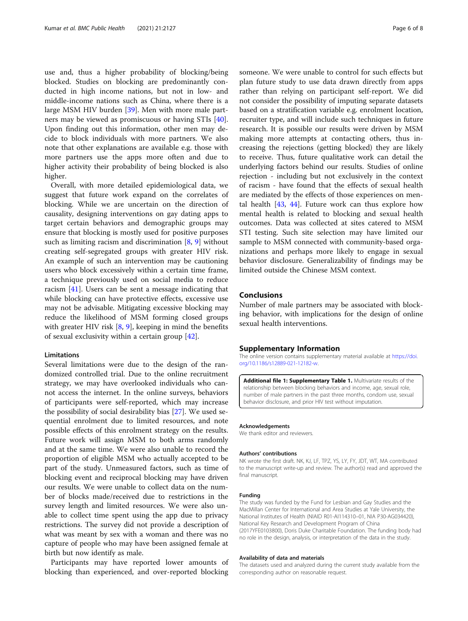<span id="page-5-0"></span>use and, thus a higher probability of blocking/being blocked. Studies on blocking are predominantly conducted in high income nations, but not in low- and middle-income nations such as China, where there is a large MSM HIV burden [\[39\]](#page-7-0). Men with more male partners may be viewed as promiscuous or having STIs [\[40](#page-7-0)]. Upon finding out this information, other men may decide to block individuals with more partners. We also note that other explanations are available e.g. those with more partners use the apps more often and due to higher activity their probability of being blocked is also higher.

Overall, with more detailed epidemiological data, we suggest that future work expand on the correlates of blocking. While we are uncertain on the direction of causality, designing interventions on gay dating apps to target certain behaviors and demographic groups may ensure that blocking is mostly used for positive purposes such as limiting racism and discrimination  $[8, 9]$  $[8, 9]$  $[8, 9]$  $[8, 9]$  without creating self-segregated groups with greater HIV risk. An example of such an intervention may be cautioning users who block excessively within a certain time frame, a technique previously used on social media to reduce racism [\[41](#page-7-0)]. Users can be sent a message indicating that while blocking can have protective effects, excessive use may not be advisable. Mitigating excessive blocking may reduce the likelihood of MSM forming closed groups with greater HIV risk [\[8](#page-6-0), [9](#page-6-0)], keeping in mind the benefits of sexual exclusivity within a certain group [\[42](#page-7-0)].

## Limitations

Several limitations were due to the design of the randomized controlled trial. Due to the online recruitment strategy, we may have overlooked individuals who cannot access the internet. In the online surveys, behaviors of participants were self-reported, which may increase the possibility of social desirability bias [[27\]](#page-6-0). We used sequential enrolment due to limited resources, and note possible effects of this enrolment strategy on the results. Future work will assign MSM to both arms randomly and at the same time. We were also unable to record the proportion of eligible MSM who actually accepted to be part of the study. Unmeasured factors, such as time of blocking event and reciprocal blocking may have driven our results. We were unable to collect data on the number of blocks made/received due to restrictions in the survey length and limited resources. We were also unable to collect time spent using the app due to privacy restrictions. The survey did not provide a description of what was meant by sex with a woman and there was no capture of people who may have been assigned female at birth but now identify as male.

Participants may have reported lower amounts of blocking than experienced, and over-reported blocking

someone. We were unable to control for such effects but plan future study to use data drawn directly from apps rather than relying on participant self-report. We did not consider the possibility of imputing separate datasets based on a stratification variable e.g. enrolment location, recruiter type, and will include such techniques in future research. It is possible our results were driven by MSM making more attempts at contacting others, thus increasing the rejections (getting blocked) they are likely to receive. Thus, future qualitative work can detail the underlying factors behind our results. Studies of online rejection - including but not exclusively in the context of racism - have found that the effects of sexual health are mediated by the effects of those experiences on mental health  $[43, 44]$  $[43, 44]$  $[43, 44]$ . Future work can thus explore how mental health is related to blocking and sexual health outcomes. Data was collected at sites catered to MSM STI testing. Such site selection may have limited our sample to MSM connected with community-based organizations and perhaps more likely to engage in sexual behavior disclosure. Generalizability of findings may be limited outside the Chinese MSM context.

## Conclusions

Number of male partners may be associated with blocking behavior, with implications for the design of online sexual health interventions.

## Supplementary Information

The online version contains supplementary material available at [https://doi.](https://doi.org/10.1186/s12889-021-12182-w) [org/10.1186/s12889-021-12182-w](https://doi.org/10.1186/s12889-021-12182-w).

Additional file 1: Supplementary Table 1. Multivariate results of the relationship between blocking behaviors and income, age, sexual role, number of male partners in the past three months, condom use, sexual behavior disclosure, and prior HIV test without imputation.

#### Acknowledgements

We thank editor and reviewers.

### Authors' contributions

NK wrote the first draft. NK, KJ, LF, TPZ, YS, LY, FY, JDT, WT, MA contributed to the manuscript write-up and review. The author(s) read and approved the final manuscript.

#### Funding

The study was funded by the Fund for Lesbian and Gay Studies and the MacMillan Center for International and Area Studies at Yale University, the National Institutes of Health (NIAID R01-AI114310–01, NIA P30-AG034420), National Key Research and Development Program of China (2017YFE0103800), Doris Duke Charitable Foundation. The funding body had no role in the design, analysis, or interpretation of the data in the study.

#### Availability of data and materials

The datasets used and analyzed during the current study available from the corresponding author on reasonable request.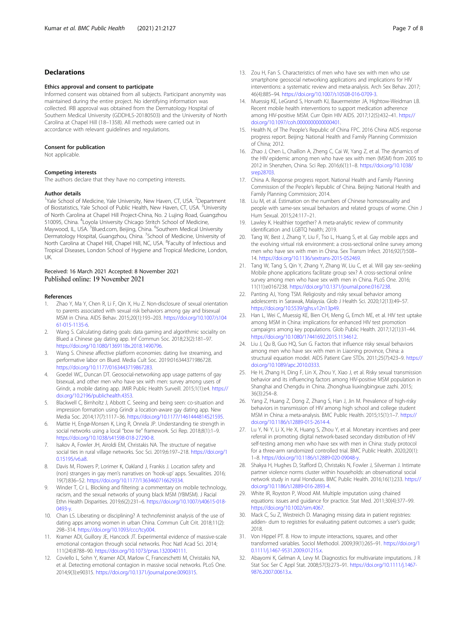## <span id="page-6-0"></span>Declarations

#### Ethics approval and consent to participate

Informed consent was obtained from all subjects. Participant anonymity was maintained during the entire project. No identifying information was collected. IRB approval was obtained from the Dermatology Hospital of Southern Medical University (GDDHLS-20180503) and the University of North Carolina at Chapel Hill (18–1358). All methods were carried out in accordance with relevant guidelines and regulations.

#### Consent for publication

Not applicable.

#### Competing interests

The authors declare that they have no competing interests.

#### Author details

<sup>1</sup>Yale School of Medicine, Yale University, New Haven, CT, USA. <sup>2</sup>Department of Biostatistics, Yale School of Public Health, New Haven, CT, USA. <sup>3</sup>University of North Carolina at Chapel Hill Project-China, No. 2 Lujing Road, Guangzhou 510095, China. <sup>4</sup> Loyola University Chicago Stritch School of Medicine, Maywood, IL, USA. <sup>5</sup>Blued.com, Beijing, China. <sup>6</sup>Southern Medical University Dermatology Hospital, Guangzhou, China. <sup>7</sup>School of Medicine, University of North Carolina at Chapel Hill, Chapel Hill, NC, USA. <sup>8</sup>Faculty of Infectious and Tropical Diseases, London School of Hygiene and Tropical Medicine, London, UK.

## Received: 16 March 2021 Accepted: 8 November 2021 Published online: 19 November 2021

#### References

- 1. Zhao Y, Ma Y, Chen R, Li F, Qin X, Hu Z. Non-disclosure of sexual orientation to parents associated with sexual risk behaviors among gay and bisexual MSM in China. AIDS Behav. 2015;20(1):193–203. [https://doi.org/10.1007/s104](https://doi.org/10.1007/s10461-015-1135-6) [61-015-1135-6](https://doi.org/10.1007/s10461-015-1135-6).
- 2. Wang S. Calculating dating goals: data gaming and algorithmic sociality on Blued a Chinese gay dating app. Inf Commun Soc. 2018;23(2):181–97. [https://doi.org/10.1080/1369118x.2018.1490796.](https://doi.org/10.1080/1369118x.2018.1490796)
- 3. Wang S. Chinese affective platform economies: dating live streaming, and performative labor on Blued. Media Cult Soc. 2019:016344371986728. <https://doi.org/10.1177/0163443719867283>.
- 4. Goedel WC, Duncan DT. Geosocial-networking app usage patterns of gay bisexual, and other men who have sex with men: survey among users of Grindr, a mobile dating app. JMIR Public Health Surveill. 2015;1(1):e4. [https://](https://doi.org/10.2196/publichealth.4353) [doi.org/10.2196/publichealth.4353](https://doi.org/10.2196/publichealth.4353).
- 5. Blackwell C, Birnholtz J, Abbott C. Seeing and being seen: co-situation and impression formation using Grindr a location-aware gay dating app. New Media Soc. 2014;17(7):1117–36. [https://doi.org/10.1177/1461444814521595.](https://doi.org/10.1177/1461444814521595)
- 6. Mattie H, Engø-Monsen K, Ling R, Onnela JP. Understanding tie strength in social networks using a local "bow tie" framework. Sci Rep. 2018;8(1):1–9. [https://doi.org/10.1038/s41598-018-27290-8.](https://doi.org/10.1038/s41598-018-27290-8)
- 7. Isakov A, Fowler JH, Airoldi EM, Christakis NA. The structure of negative social ties in rural village networks. Soc Sci. 2019;6:197–218. [https://doi.org/1](https://doi.org/10.15195/v6.a8) [0.15195/v6.a8](https://doi.org/10.15195/v6.a8).
- 8. Davis M, Flowers P, Lorimer K, Oakland J, Frankis J. Location safety and (non) strangers in gay men's narratives on 'hook-up' apps. Sexualities. 2016; 19(7):836–52. [https://doi.org/10.1177/1363460716629334.](https://doi.org/10.1177/1363460716629334)
- Winder T, Cr L. Blocking and filtering: a commentary on mobile technology, racism, and the sexual networks of young black MSM (YBMSM). J Racial Ethn Health Disparities. 2019;6(2):231–6. [https://doi.org/10.1007/s40615-018-](https://doi.org/10.1007/s40615-018-0493-y) [0493-y.](https://doi.org/10.1007/s40615-018-0493-y)
- 10. Chan LS. Liberating or disciplining? A technofeminist analysis of the use of dating apps among women in urban China. Commun Cult Crit. 2018;11(2): 298–314. [https://doi.org/10.1093/ccc/tcy004.](https://doi.org/10.1093/ccc/tcy004)
- 11. Kramer ADI, Guillory JE, Hancock JT. Experimental evidence of massive-scale emotional contagion through social networks. Proc Natl Acad Sci. 2014; 111(24):8788–90. [https://doi.org/10.1073/pnas.1320040111.](https://doi.org/10.1073/pnas.1320040111)
- 12. Coviello L, Sohn Y, Kramer ADI, Marlow C, Franceschetti M, Christakis NA, et al. Detecting emotional contagion in massive social networks. PLoS One. 2014;9(3):e90315. [https://doi.org/10.1371/journal.pone.0090315.](https://doi.org/10.1371/journal.pone.0090315)
- 13. Zou H, Fan S. Characteristics of men who have sex with men who use smartphone geosocial networking applications and implications for HIV interventions: a systematic review and meta-analysis. Arch Sex Behav. 2017; 46(4):885–94. <https://doi.org/10.1007/s10508-016-0709-3>.
- 14. Muessig KE, LeGrand S, Horvath KJ, Bauermeister JA, Hightow-Weidman LB. Recent mobile health interventions to support medication adherence among HIV-positive MSM. Curr Opin HIV AIDS. 2017;12(5):432–41. [https://](https://doi.org/10.1097/coh.0000000000000401) [doi.org/10.1097/coh.0000000000000401.](https://doi.org/10.1097/coh.0000000000000401)
- 15. Health N, of The People's Republic of China FPC. 2016 China AIDS response progress report. Beijing: National Health and Family Planning Commission of China; 2012.
- 16. Zhao J, Chen L, Chaillon A, Zheng C, Cai W, Yang Z, et al. The dynamics of the HIV epidemic among men who have sex with men (MSM) from 2005 to 2012 in Shenzhen, China. Sci Rep. 2016;6(1):1–8. [https://doi.org/10.1038/](https://doi.org/10.1038/srep28703) [srep28703.](https://doi.org/10.1038/srep28703)
- 17. China A. Response progress report. National Health and Family Planning Commission of the People's Republic of China. Beijing: National Health and Family Planning Commission; 2014.
- 18. Liu M, et al. Estimation on the numbers of Chinese homosexuality and people with same-sex sexual behaviors and related groups of wome. Chin J Hum Sexual. 2015;24:117–21.
- 19. Lawley K. Healthier together? A meta-analytic review of community identification and LGBTQ health; 2019.
- 20. Tang W, Best J, Zhang Y, Liu F, Tso L, Huang S, et al. Gay mobile apps and the evolving virtual risk environment: a cross-sectional online survey among men who have sex with men in China. Sex Transm Infect. 2016;92(7):508– 14. <https://doi.org/10.1136/sextrans-2015-052469>.
- 21. Tang W, Tang S, Qin Y, Zhang Y, Zhang W, Liu C, et al. Will gay sex–seeking Mobile phone applications facilitate group sex? A cross-sectional online survey among men who have sex with men in China. PLoS One. 2016; 11(11):e0167238. [https://doi.org/10.1371/journal.pone.0167238.](https://doi.org/10.1371/journal.pone.0167238)
- 22. Panting AJ, Yong TSM. Religiosity and risky sexual behavior among adolescents in Sarawak, Malaysia. Glob J Health Sci. 2020;12(13):49–57. <https://doi.org/10.5539/gjhs.v12n13p49>.
- 23. Han L, Wei C, Muessig KE, Bien CH, Meng G, Emch ME, et al. HIV test uptake among MSM in China: implications for enhanced HIV test promotion campaigns among key populations. Glob Public Health. 2017;12(1):31–44. <https://doi.org/10.1080/17441692.2015.1134612>.
- 24. Liu J, Ou B, Guo HO, Sun G, Factors that influence risky sexual behaviors among men who have sex with men in Liaoning province, China: a structural equation model. AIDS Patient Care STDs. 2011;25(7):423–9. [https://](https://doi.org/10.1089/apc.2010.0333) [doi.org/10.1089/apc.2010.0333](https://doi.org/10.1089/apc.2010.0333).
- 25. He H, Zhang H, Ding F, Lin X, Zhou Y, Xiao J, et al. Risky sexual transmission behavior and its influencing factors among HIV-positive MSM population in Shanghai and Chengdu in China. Zhonghua liuxingbingxue zazhi. 2015; 36(3):254–8.
- 26. Yang Z, Huang Z, Dong Z, Zhang S, Han J, Jin M. Prevalence of high-risky behaviors in transmission of HIV among high school and college student MSM in China: a meta-analysis. BMC Public Health. 2015;15(1):1–7. [https://](https://doi.org/10.1186/s12889-015-2614-4) [doi.org/10.1186/s12889-015-2614-4.](https://doi.org/10.1186/s12889-015-2614-4)
- 27. Lu Y, Ni Y, Li X, He X, Huang S, Zhou Y, et al. Monetary incentives and peer referral in promoting digital network-based secondary distribution of HIV self-testing among men who have sex with men in China: study protocol for a three-arm randomized controlled trial. BMC Public Health. 2020;20(1): 1–8. [https://doi.org/10.1186/s12889-020-09048-y.](https://doi.org/10.1186/s12889-020-09048-y)
- 28. Shakya H, Hughes D, Stafford D, Christakis N, Fowler J, Silverman J. Intimate partner violence norms cluster within households: an observational social network study in rural Honduras. BMC Public Health. 2016;16(1):233. [https://](https://doi.org/10.1186/s12889-016-2893-4) [doi.org/10.1186/s12889-016-2893-4.](https://doi.org/10.1186/s12889-016-2893-4)
- 29. White IR, Royston P, Wood AM. Multiple imputation using chained equations: issues and guidance for practice. Stat Med. 2011;30(4):377–99. [https://doi.org/10.1002/sim.4067.](https://doi.org/10.1002/sim.4067)
- 30. Mack C, Su Z, Westreich D. Managing missing data in patient registries: adden- dum to registries for evaluating patient outcomes: a user's guide; 2018.
- 31. Von Hippel PT. 8. How to impute interactions, squares, and other transformed variables. Sociol Methodol. 2009;39(1):265–91. [https://doi.org/1](https://doi.org/10.1111/j.1467-9531.2009.01215.x) [0.1111/j.1467-9531.2009.01215.x.](https://doi.org/10.1111/j.1467-9531.2009.01215.x)
- 32. Abayomi K, Gelman A, Levy M. Diagnostics for multivariate imputations. J R Stat Soc Ser C Appl Stat. 2008;57(3):273–91. [https://doi.org/10.1111/j.1467-](https://doi.org/10.1111/j.1467-9876.2007.00613.x) [9876.2007.00613.x.](https://doi.org/10.1111/j.1467-9876.2007.00613.x)